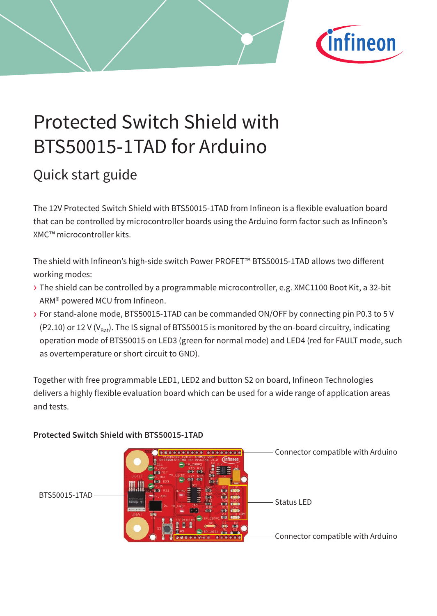

# Protected Switch Shield with BTS50015-1TAD for Arduino

# Quick start guide

The 12V Protected Switch Shield with BTS50015-1TAD from Infineon is a flexible evaluation board that can be controlled by microcontroller boards using the Arduino form factor such as Infineon's XMC™ microcontroller kits.

The shield with Infineon's high-side switch Power PROFET™ BTS50015-1TAD allows two different working modes:

- › The shield can be controlled by a programmable microcontroller, e.g. XMC1100 Boot Kit, a 32-bit ARM® powered MCU from Infineon.
- › For stand-alone mode, BTS50015-1TAD can be commanded ON/OFF by connecting pin P0.3 to 5 V (P2.10) or 12 V ( $V_{B-x}$ ). The IS signal of BTS50015 is monitored by the on-board circuitry, indicating operation mode of BTS50015 on LED3 (green for normal mode) and LED4 (red for FAULT mode, such as overtemperature or short circuit to GND).

Together with free programmable LED1, LED2 and button S2 on board, Infineon Technologies delivers a highly flexible evaluation board which can be used for a wide range of application areas and tests.

Connector compatible with Arduino Connector compatible with Arduino  $\begin{picture}(45,175) \put(0,0){\line(1,0){15}} \put(1,0){\line(1,0){15}} \put(1,0){\line(1,0){15}} \put(1,0){\line(1,0){15}} \put(1,0){\line(1,0){15}} \put(1,0){\line(1,0){15}} \put(1,0){\line(1,0){15}} \put(1,0){\line(1,0){15}} \put(1,0){\line(1,0){15}} \put(1,0){\line(1,0){15}} \put(1,0){\line(1,0){15}} \put(1,0){\line(1,0){15}} \put(1$ 

**Protected Switch Shield with BTS50015-1TAD**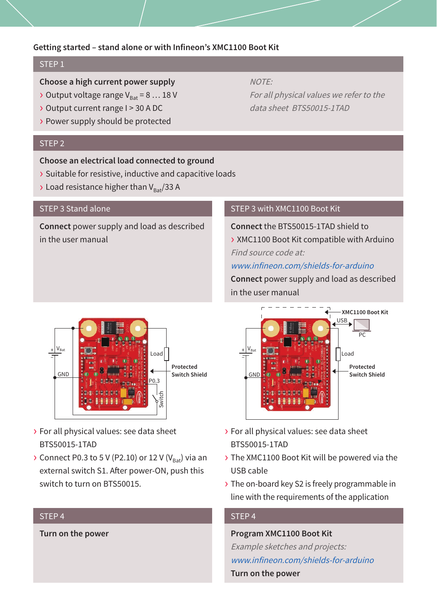#### **Getting started – stand alone or with Infineon's XMC1100 Boot Kit**

# STEP<sub>1</sub>

# **Choose a high current power supply**

- $\triangleright$  Output voltage range V<sub>p<sub>2</sub></sub> = 8 ... 18 V
- › Output current range I > 30 A DC
- › Power supply should be protected

### STEP 2

### **Choose an electrical load connected to ground**

- › Suitable for resistive, inductive and capacitive loads
- $\rightarrow$  Load resistance higher than V<sub>Bat</sub>/33 A

#### STEP 3 Stand alone

**Connect** power supply and load as described in the user manual

# NOTE:

For all physical values we refer to the data sheet BTS50015-1TAD

# STEP 3 with XMC1100 Boot Kit

**Connect** the BTS50015-1TAD shield to

› XMC1100 Boot Kit compatible with Arduino Find source code at:

#### www.infineon.com/shields-for-arduino

**Connect** power supply and load as described in the user manual



- › For all physical values: see data sheet BTS50015-1TAD
- › The XMC1100 Boot Kit will be powered via the USB cable
- › The on-board key S2 is freely programmable in line with the requirements of the application

# STEP 4

### **Program XMC1100 Boot Kit**

Example sketches and projects: www.infineon.com/shields-for-arduino **Turn on the power**



- › For all physical values: see data sheet BTS50015-1TAD
- $\triangleright$  Connect P0.3 to 5 V (P2.10) or 12 V (V<sub>Bat</sub>) via an external switch S1. After power-ON, push this switch to turn on BTS50015.

# STEP 4

**Turn on the power**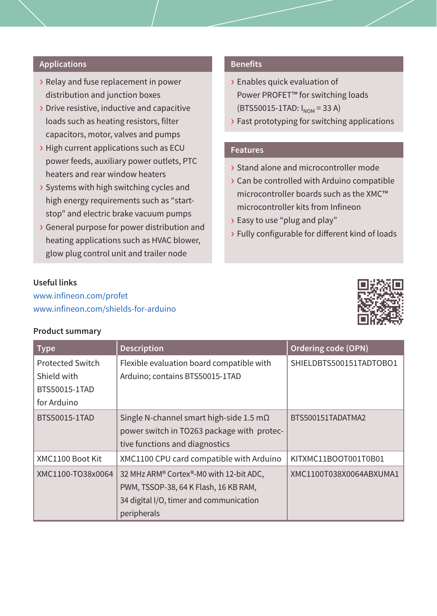# **Applications**

- › Relay and fuse replacement in power distribution and junction boxes
- › Drive resistive, inductive and capacitive loads such as heating resistors, filter capacitors, motor, valves and pumps
- › High current applications such as ECU power feeds, auxiliary power outlets, PTC heaters and rear window heaters
- › Systems with high switching cycles and high energy requirements such as "startstop" and electric brake vacuum pumps
- › General purpose for power distribution and heating applications such as HVAC blower, glow plug control unit and trailer node

#### **Benefits**

- › Enables quick evaluation of Power PROFET™ for switching loads  $(BTS50015-1TAD: I_{NOM} = 33 A)$
- › Fast prototyping for switching applications

# **Features**

- › Stand alone and microcontroller mode
- › Can be controlled with Arduino compatible microcontroller boards such as the XMC™ microcontroller kits from Infineon
- › Easy to use "plug and play"
- › Fully configurable for different kind of loads

# **Useful links**

www.infineon.com/profet www.infineon.com/shields-for-arduino

#### **Product summary**



| <b>Type</b>       | <b>Description</b>                              | Ordering code (OPN)     |
|-------------------|-------------------------------------------------|-------------------------|
| Protected Switch  | Flexible evaluation board compatible with       | SHIELDBTS500151TADTOBO1 |
| Shield with       | Arduino; contains BTS50015-1TAD                 |                         |
| BTS50015-1TAD     |                                                 |                         |
| for Arduino       |                                                 |                         |
| BTS50015-1TAD     | Single N-channel smart high-side 1.5 m $\Omega$ | BTS500151TADATMA2       |
|                   | power switch in TO263 package with protec-      |                         |
|                   | tive functions and diagnostics                  |                         |
| XMC1100 Boot Kit  | XMC1100 CPU card compatible with Arduino        | KITXMC11BOOT001T0B01    |
| XMC1100-TO38x0064 | 32 MHz ARM® Cortex®-M0 with 12-bit ADC,         | XMC1100T038X0064ABXUMA1 |
|                   | PWM, TSSOP-38, 64 K Flash, 16 KB RAM,           |                         |
|                   | 34 digital I/O, timer and communication         |                         |
|                   | peripherals                                     |                         |